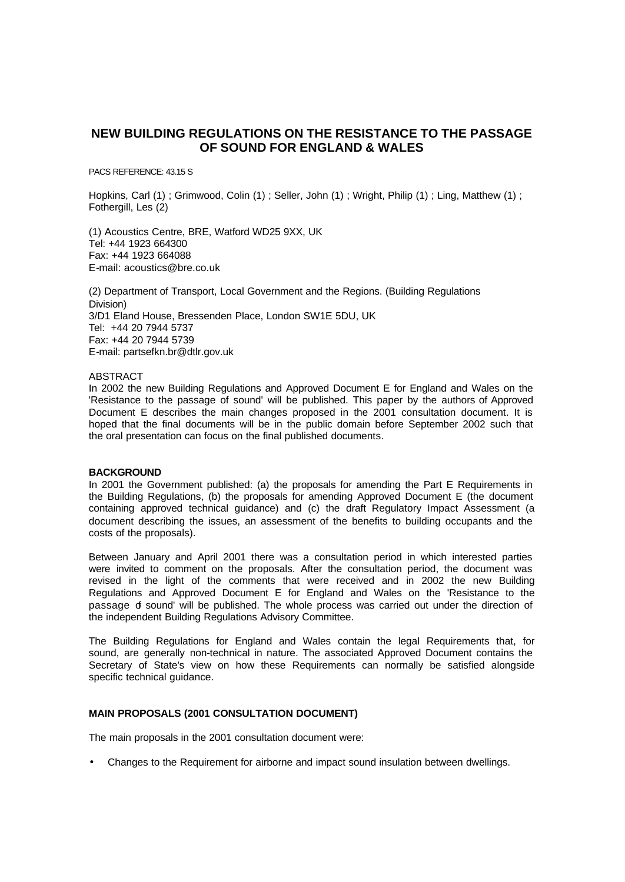# **NEW BUILDING REGULATIONS ON THE RESISTANCE TO THE PASSAGE OF SOUND FOR ENGLAND & WALES**

PACS REFERENCE: 43.15 S

Hopkins, Carl (1); Grimwood, Colin (1); Seller, John (1); Wright, Philip (1); Ling, Matthew (1); Fothergill, Les (2)

(1) Acoustics Centre, BRE, Watford WD25 9XX, UK Tel: +44 1923 664300 Fax: +44 1923 664088 E-mail: acoustics@bre.co.uk

(2) Department of Transport, Local Government and the Regions. (Building Regulations Division) 3/D1 Eland House, Bressenden Place, London SW1E 5DU, UK Tel: +44 20 7944 5737 Fax: +44 20 7944 5739 E-mail: partsefkn.br@dtlr.gov.uk

#### **ABSTRACT**

In 2002 the new Building Regulations and Approved Document E for England and Wales on the 'Resistance to the passage of sound' will be published. This paper by the authors of Approved Document E describes the main changes proposed in the 2001 consultation document. It is hoped that the final documents will be in the public domain before September 2002 such that the oral presentation can focus on the final published documents.

# **BACKGROUND**

In 2001 the Government published: (a) the proposals for amending the Part E Requirements in the Building Regulations, (b) the proposals for amending Approved Document E (the document containing approved technical guidance) and (c) the draft Regulatory Impact Assessment (a document describing the issues, an assessment of the benefits to building occupants and the costs of the proposals).

Between January and April 2001 there was a consultation period in which interested parties were invited to comment on the proposals. After the consultation period, the document was revised in the light of the comments that were received and in 2002 the new Building Regulations and Approved Document E for England and Wales on the 'Resistance to the passage of sound' will be published. The whole process was carried out under the direction of the independent Building Regulations Advisory Committee.

The Building Regulations for England and Wales contain the legal Requirements that, for sound, are generally non-technical in nature. The associated Approved Document contains the Secretary of State's view on how these Requirements can normally be satisfied alongside specific technical guidance.

# **MAIN PROPOSALS (2001 CONSULTATION DOCUMENT)**

The main proposals in the 2001 consultation document were:

• Changes to the Requirement for airborne and impact sound insulation between dwellings.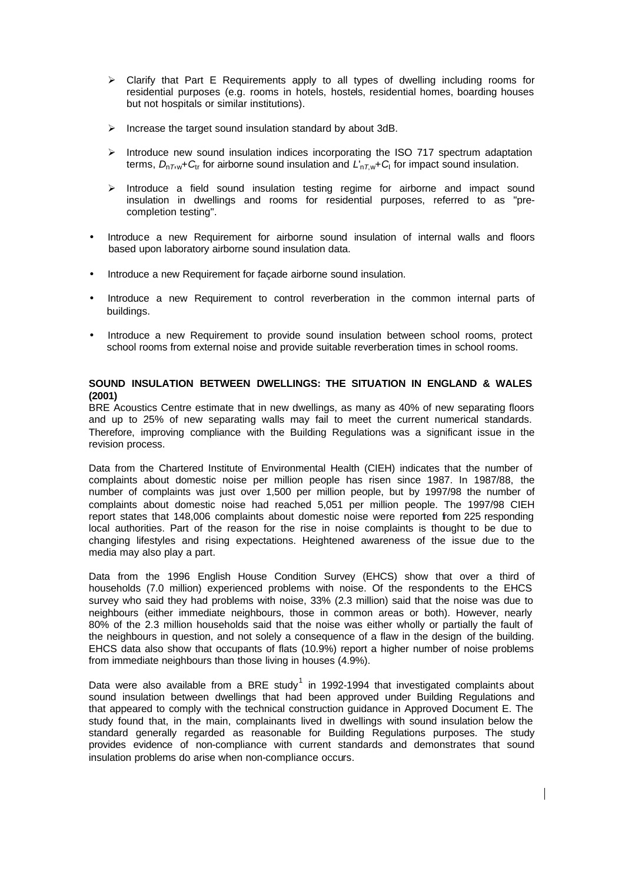- $\triangleright$  Clarify that Part E Requirements apply to all types of dwelling including rooms for residential purposes (e.g. rooms in hotels, hostels, residential homes, boarding houses but not hospitals or similar institutions).
- $\triangleright$  Increase the target sound insulation standard by about 3dB.
- $\triangleright$  Introduce new sound insulation indices incorporating the ISO 717 spectrum adaptation terms, *D*<sup>n</sup>*T*,w+*C*tr for airborne sound insulation and *L*'n*T*,w+*C*<sup>I</sup> for impact sound insulation.
- $\triangleright$  Introduce a field sound insulation testing regime for airborne and impact sound insulation in dwellings and rooms for residential purposes, referred to as "precompletion testing".
- Introduce a new Requirement for airborne sound insulation of internal walls and floors based upon laboratory airborne sound insulation data.
- Introduce a new Requirement for façade airborne sound insulation.
- Introduce a new Requirement to control reverberation in the common internal parts of buildings.
- Introduce a new Requirement to provide sound insulation between school rooms, protect school rooms from external noise and provide suitable reverberation times in school rooms.

# **SOUND INSULATION BETWEEN DWELLINGS: THE SITUATION IN ENGLAND & WALES (2001)**

BRE Acoustics Centre estimate that in new dwellings, as many as 40% of new separating floors and up to 25% of new separating walls may fail to meet the current numerical standards. Therefore, improving compliance with the Building Regulations was a significant issue in the revision process.

Data from the Chartered Institute of Environmental Health (CIEH) indicates that the number of complaints about domestic noise per million people has risen since 1987. In 1987/88, the number of complaints was just over 1,500 per million people, but by 1997/98 the number of complaints about domestic noise had reached 5,051 per million people. The 1997/98 CIEH report states that 148,006 complaints about domestic noise were reported from 225 responding local authorities. Part of the reason for the rise in noise complaints is thought to be due to changing lifestyles and rising expectations. Heightened awareness of the issue due to the media may also play a part.

Data from the 1996 English House Condition Survey (EHCS) show that over a third of households (7.0 million) experienced problems with noise. Of the respondents to the EHCS survey who said they had problems with noise, 33% (2.3 million) said that the noise was due to neighbours (either immediate neighbours, those in common areas or both). However, nearly 80% of the 2.3 million households said that the noise was either wholly or partially the fault of the neighbours in question, and not solely a consequence of a flaw in the design of the building. EHCS data also show that occupants of flats (10.9%) report a higher number of noise problems from immediate neighbours than those living in houses (4.9%).

Data were also available from a BRE study<sup>1</sup> in 1992-1994 that investigated complaints about sound insulation between dwellings that had been approved under Building Regulations and that appeared to comply with the technical construction guidance in Approved Document E. The study found that, in the main, complainants lived in dwellings with sound insulation below the standard generally regarded as reasonable for Building Regulations purposes. The study provides evidence of non-compliance with current standards and demonstrates that sound insulation problems do arise when non-compliance occurs.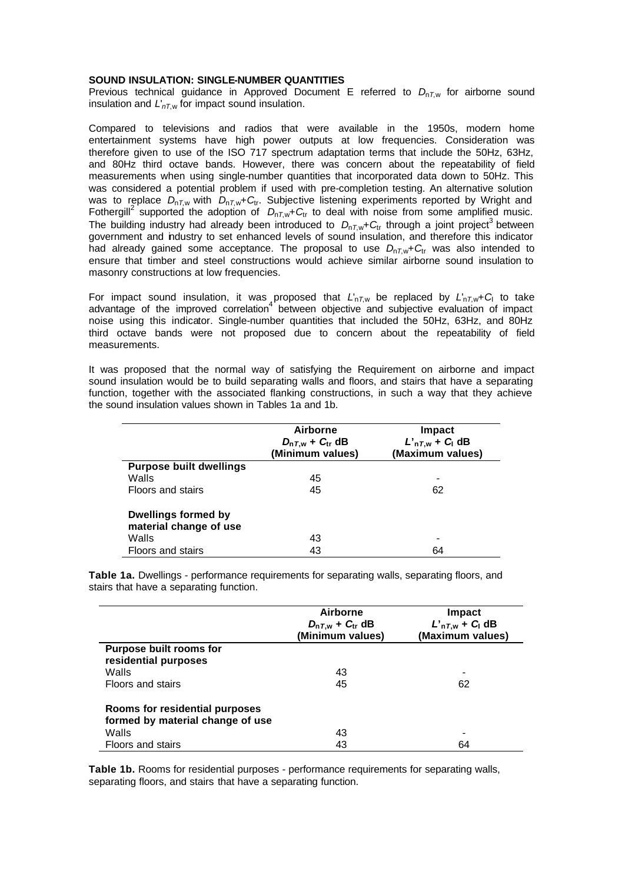## **SOUND INSULATION: SINGLE-NUMBER QUANTITIES**

Previous technical guidance in Approved Document E referred to  $D_{nTw}$  for airborne sound insulation and *L*'*nT*,w for impact sound insulation.

Compared to televisions and radios that were available in the 1950s, modern home entertainment systems have high power outputs at low frequencies. Consideration was therefore given to use of the ISO 717 spectrum adaptation terms that include the 50Hz, 63Hz, and 80Hz third octave bands. However, there was concern about the repeatability of field measurements when using single-number quantities that incorporated data down to 50Hz. This was considered a potential problem if used with pre-completion testing. An alternative solution was to replace  $D_{nT,w}$  with  $D_{nT,w}+C_{tr}$ . Subjective listening experiments reported by Wright and Fothergill<sup>2</sup> supported the adoption of  $D_{nT,w}$ + $C_{tr}$  to deal with noise from some amplified music. The building industry had already been introduced to  $D_{nT,w}$ + $C_{tr}$  through a joint project<sup>3</sup> between government and industry to set enhanced levels of sound insulation, and therefore this indicator had already gained some acceptance. The proposal to use  $D_{nTw}$ + $C_{tr}$  was also intended to ensure that timber and steel constructions would achieve similar airborne sound insulation to masonry constructions at low frequencies.

For impact sound insulation, it was proposed that *L*'n*T*,w be replaced by *L*'n*T*,w+*C*<sup>I</sup> to take advantage of the improved correlation<sup>4</sup> between objective and subjective evaluation of impact noise using this indicator. Single-number quantities that included the 50Hz, 63Hz, and 80Hz third octave bands were not proposed due to concern about the repeatability of field measurements.

It was proposed that the normal way of satisfying the Requirement on airborne and impact sound insulation would be to build separating walls and floors, and stairs that have a separating function, together with the associated flanking constructions, in such a way that they achieve the sound insulation values shown in Tables 1a and 1b.

|                                                      | Airborne<br>$D_{nT,w}$ + $C_{tr}$ dB<br>(Minimum values) | Impact<br>$L'_{nT,w}$ + $C_1$ dB<br>(Maximum values) |
|------------------------------------------------------|----------------------------------------------------------|------------------------------------------------------|
| <b>Purpose built dwellings</b>                       |                                                          |                                                      |
| Walls                                                | 45                                                       |                                                      |
| Floors and stairs                                    | 45                                                       | 62                                                   |
| <b>Dwellings formed by</b><br>material change of use |                                                          |                                                      |
| Walls                                                | 43                                                       |                                                      |
| Floors and stairs                                    | 43                                                       | 64                                                   |

**Table 1a.** Dwellings - performance requirements for separating walls, separating floors, and stairs that have a separating function.

|                                                                    | <b>Airborne</b><br>$D_{nT,w}$ + $C_{tr}$ dB<br>(Minimum values) | Impact<br>$L'_{nT,w}$ + $C_1$ dB<br>(Maximum values) |
|--------------------------------------------------------------------|-----------------------------------------------------------------|------------------------------------------------------|
| Purpose built rooms for<br>residential purposes                    |                                                                 |                                                      |
| Walls                                                              | 43                                                              |                                                      |
| Floors and stairs                                                  | 45                                                              | 62                                                   |
| Rooms for residential purposes<br>formed by material change of use |                                                                 |                                                      |
| Walls                                                              | 43                                                              |                                                      |
| Floors and stairs                                                  | 43                                                              | 64                                                   |

**Table 1b.** Rooms for residential purposes - performance requirements for separating walls, separating floors, and stairs that have a separating function.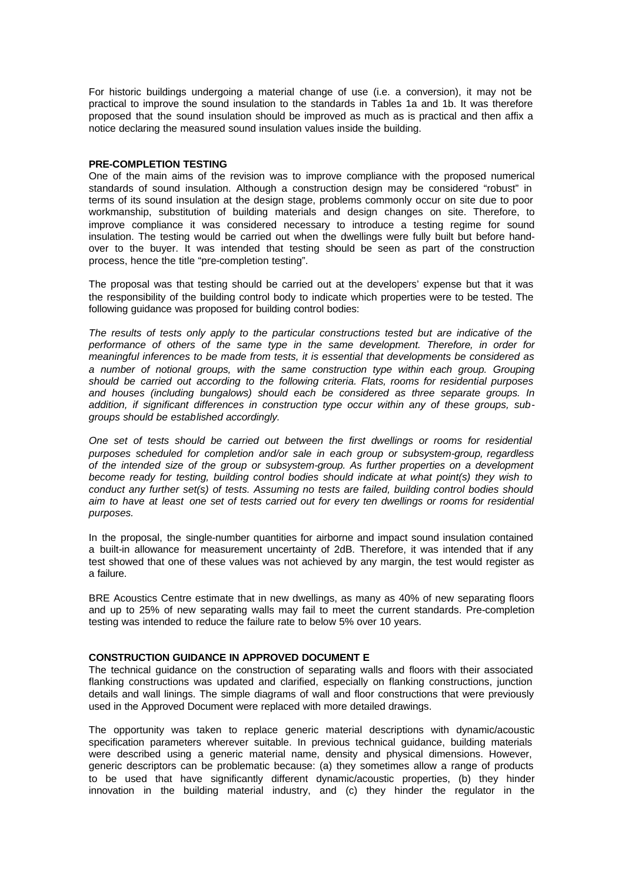For historic buildings undergoing a material change of use (i.e. a conversion), it may not be practical to improve the sound insulation to the standards in Tables 1a and 1b. It was therefore proposed that the sound insulation should be improved as much as is practical and then affix a notice declaring the measured sound insulation values inside the building.

## **PRE-COMPLETION TESTING**

One of the main aims of the revision was to improve compliance with the proposed numerical standards of sound insulation. Although a construction design may be considered "robust" in terms of its sound insulation at the design stage, problems commonly occur on site due to poor workmanship, substitution of building materials and design changes on site. Therefore, to improve compliance it was considered necessary to introduce a testing regime for sound insulation. The testing would be carried out when the dwellings were fully built but before handover to the buyer. It was intended that testing should be seen as part of the construction process, hence the title "pre-completion testing".

The proposal was that testing should be carried out at the developers' expense but that it was the responsibility of the building control body to indicate which properties were to be tested. The following guidance was proposed for building control bodies:

*The results of tests only apply to the particular constructions tested but are indicative of the performance of others of the same type in the same development. Therefore, in order for meaningful inferences to be made from tests, it is essential that developments be considered as a number of notional groups, with the same construction type within each group. Grouping should be carried out according to the following criteria. Flats, rooms for residential purposes and houses (including bungalows) should each be considered as three separate groups. In addition, if significant differences in construction type occur within any of these groups, subgroups should be established accordingly.*

*One set of tests should be carried out between the first dwellings or rooms for residential purposes scheduled for completion and/or sale in each group or subsystem-group, regardless of the intended size of the group or subsystem-group. As further properties on a development become ready for testing, building control bodies should indicate at what point(s) they wish to conduct any further set(s) of tests. Assuming no tests are failed, building control bodies should aim to have at least one set of tests carried out for every ten dwellings or rooms for residential purposes.*

In the proposal, the single-number quantities for airborne and impact sound insulation contained a built-in allowance for measurement uncertainty of 2dB. Therefore, it was intended that if any test showed that one of these values was not achieved by any margin, the test would register as a failure.

BRE Acoustics Centre estimate that in new dwellings, as many as 40% of new separating floors and up to 25% of new separating walls may fail to meet the current standards. Pre-completion testing was intended to reduce the failure rate to below 5% over 10 years.

## **CONSTRUCTION GUIDANCE IN APPROVED DOCUMENT E**

The technical guidance on the construction of separating walls and floors with their associated flanking constructions was updated and clarified, especially on flanking constructions, junction details and wall linings. The simple diagrams of wall and floor constructions that were previously used in the Approved Document were replaced with more detailed drawings.

The opportunity was taken to replace generic material descriptions with dynamic/acoustic specification parameters wherever suitable. In previous technical guidance, building materials were described using a generic material name, density and physical dimensions. However, generic descriptors can be problematic because: (a) they sometimes allow a range of products to be used that have significantly different dynamic/acoustic properties, (b) they hinder innovation in the building material industry, and (c) they hinder the regulator in the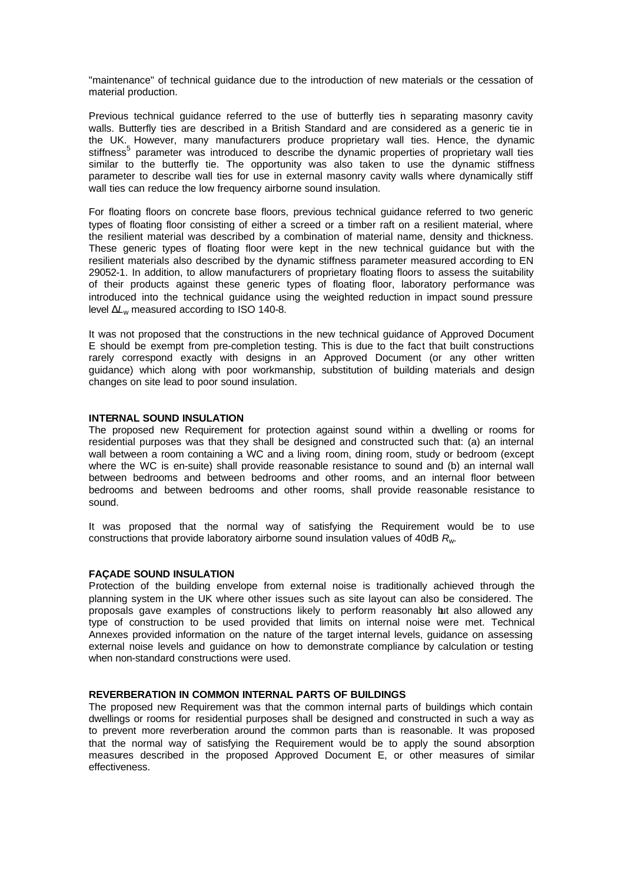"maintenance" of technical guidance due to the introduction of new materials or the cessation of material production.

Previous technical guidance referred to the use of butterfly ties in separating masonry cavity walls. Butterfly ties are described in a British Standard and are considered as a generic tie in the UK. However, many manufacturers produce proprietary wall ties. Hence, the dynamic stiffness<sup>5</sup> parameter was introduced to describe the dynamic properties of proprietary wall ties similar to the butterfly tie. The opportunity was also taken to use the dynamic stiffness parameter to describe wall ties for use in external masonry cavity walls where dynamically stiff wall ties can reduce the low frequency airborne sound insulation.

For floating floors on concrete base floors, previous technical guidance referred to two generic types of floating floor consisting of either a screed or a timber raft on a resilient material, where the resilient material was described by a combination of material name, density and thickness. These generic types of floating floor were kept in the new technical guidance but with the resilient materials also described by the dynamic stiffness parameter measured according to EN 29052-1. In addition, to allow manufacturers of proprietary floating floors to assess the suitability of their products against these generic types of floating floor, laboratory performance was introduced into the technical guidance using the weighted reduction in impact sound pressure level Δ*L*w measured according to ISO 140-8.

It was not proposed that the constructions in the new technical guidance of Approved Document E should be exempt from pre-completion testing. This is due to the fact that built constructions rarely correspond exactly with designs in an Approved Document (or any other written guidance) which along with poor workmanship, substitution of building materials and design changes on site lead to poor sound insulation.

## **INTERNAL SOUND INSULATION**

The proposed new Requirement for protection against sound within a dwelling or rooms for residential purposes was that they shall be designed and constructed such that: (a) an internal wall between a room containing a WC and a living room, dining room, study or bedroom (except where the WC is en-suite) shall provide reasonable resistance to sound and (b) an internal wall between bedrooms and between bedrooms and other rooms, and an internal floor between bedrooms and between bedrooms and other rooms, shall provide reasonable resistance to sound.

It was proposed that the normal way of satisfying the Requirement would be to use constructions that provide laboratory airborne sound insulation values of 40dB *R*w.

#### **FAÇADE SOUND INSULATION**

Protection of the building envelope from external noise is traditionally achieved through the planning system in the UK where other issues such as site layout can also be considered. The proposals gave examples of constructions likely to perform reasonably but also allowed any type of construction to be used provided that limits on internal noise were met. Technical Annexes provided information on the nature of the target internal levels, guidance on assessing external noise levels and guidance on how to demonstrate compliance by calculation or testing when non-standard constructions were used.

# **REVERBERATION IN COMMON INTERNAL PARTS OF BUILDINGS**

The proposed new Requirement was that the common internal parts of buildings which contain dwellings or rooms for residential purposes shall be designed and constructed in such a way as to prevent more reverberation around the common parts than is reasonable. It was proposed that the normal way of satisfying the Requirement would be to apply the sound absorption measures described in the proposed Approved Document E, or other measures of similar effectiveness.